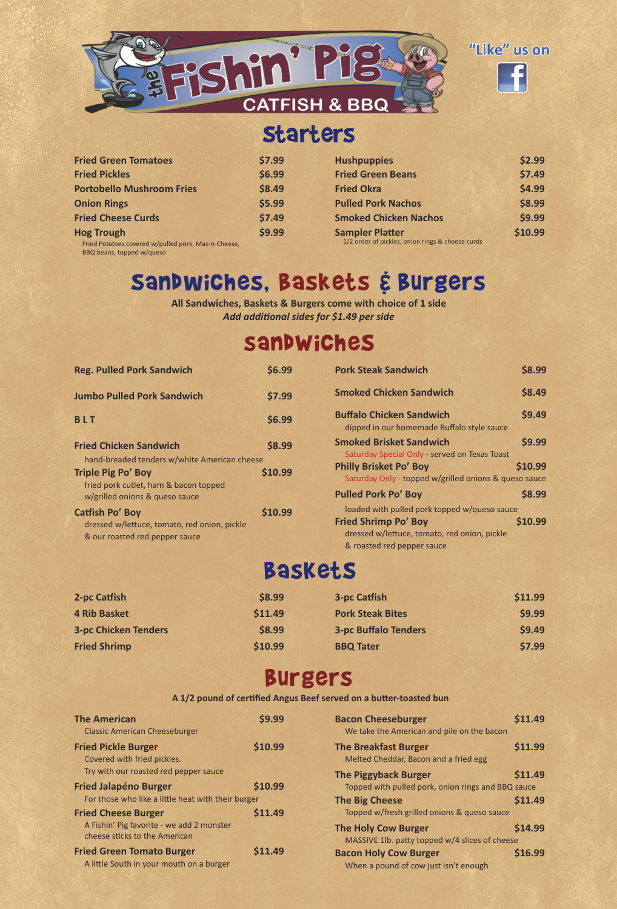

# Starters

| <b>Fried Green Tomatoes</b>                         | \$7.99 |
|-----------------------------------------------------|--------|
| <b>Fried Pickles</b>                                | \$6.99 |
| <b>Portobello Mushroom Fries</b>                    | \$8.49 |
| <b>Onion Rings</b>                                  | \$5.99 |
| <b>Fried Cheese Curds</b>                           | \$7.49 |
| <b>Hog Trough</b>                                   | \$9.99 |
| Fried Potatoes covered w/pulled pork, Mac-n-Cheese, |        |

| <b>Hushpuppies</b>                               | \$2.99  |
|--------------------------------------------------|---------|
| <b>Fried Green Beans</b>                         | \$7.49  |
| <b>Fried Okra</b>                                | \$4.99  |
| <b>Pulled Pork Nachos</b>                        | \$8.99  |
| <b>Smoked Chicken Nachos</b>                     | \$9.99  |
| <b>Sampler Platter</b>                           | \$10.99 |
| 1/2 order of pickles, onion rings & cheese curds |         |

BBQ beans, topped w/queso

# Sandwiches, Baskets & Burgers

**All Sandwiches, Baskets & Burgers come with choice of 1 side** *Add additional sides for \$1.49 per side*

### sandWicheS

| <b>Reg. Pulled Pork Sandwich</b>                                        | \$6.99  |
|-------------------------------------------------------------------------|---------|
| <b>Jumbo Pulled Pork Sandwich</b>                                       | \$7.99  |
| <b>BLT</b>                                                              | \$6.99  |
| <b>Fried Chicken Sandwich</b>                                           | \$8.99  |
| hand-breaded tenders w/white American cheese                            |         |
| <b>Triple Pig Po' Boy</b>                                               | \$10.99 |
| fried pork cutlet, ham & bacon topped<br>w/grilled onions & queso sauce |         |
| <b>Catfish Po' Boy</b>                                                  | \$10.99 |
| dressed w/lettuce, tomato, red onion, pickle                            |         |
| & our roasted red pepper sauce                                          |         |

| <b>Pork Steak Sandwich</b>                                                                                                  | <b>S8.99</b> |
|-----------------------------------------------------------------------------------------------------------------------------|--------------|
| <b>Smoked Chicken Sandwich</b>                                                                                              | \$8.49       |
| <b>Buffalo Chicken Sandwich</b><br>dipped in our homemade Buffalo style sauce                                               | \$9.49       |
| <b>Smoked Brisket Sandwich</b><br>Saturday Special Only - served on Texas Toast                                             | \$9.99       |
| <b>Philly Brisket Po' Boy</b><br>Saturday Only - topped w/grilled onions & queso sauce                                      | \$10.99      |
| <b>Pulled Pork Po' Boy</b>                                                                                                  | \$8.99       |
| loaded with pulled pork topped w/queso sauce<br><b>Fried Shrimp Po' Boy</b><br>dressed w/lettuce, tomato, red onion, pickle | \$10.99      |
| & roasted red pepper sauce                                                                                                  |              |

# BasKetS

| 2-pc Catfish                | \$8.99  | <b>3-pc Catfish</b>         | \$11.99 |
|-----------------------------|---------|-----------------------------|---------|
| <b>4 Rib Basket</b>         | \$11.49 | <b>Pork Steak Bites</b>     | \$9.99  |
| <b>3-pc Chicken Tenders</b> | \$8.99  | <b>3-pc Buffalo Tenders</b> | \$9.49  |
| <b>Fried Shrimp</b>         | \$10.99 | <b>BBQ Tater</b>            | \$7.99  |

# Burgers

**A 1/2 pound of certified Angus Beef served on a butter-toasted bun**

| <b>The American</b><br><b>Classic American Cheeseburger</b>                                              | <b>S9.99</b> |
|----------------------------------------------------------------------------------------------------------|--------------|
| <b>Fried Pickle Burger</b><br>Covered with fried pickles.<br>Try with our roasted red pepper sauce       | \$10.99      |
| <b>Fried Jalapéno Burger</b><br>For those who like a little heat with their burger                       | \$10.99      |
| <b>Fried Cheese Burger</b><br>A Fishin' Pig favorite - we add 2 monster<br>cheese sticks to the American | \$11.49      |
| <b>Fried Green Tomato Burger</b><br>A little South in your mouth on a burger                             | \$11.49      |

| <b>Bacon Cheeseburger</b>                            | We take the American and pile on the bacon                                                        | \$11.49            |
|------------------------------------------------------|---------------------------------------------------------------------------------------------------|--------------------|
| <b>The Breakfast Burger</b>                          | Melted Cheddar, Bacon and a fried egg                                                             | \$11.99            |
| <b>The Piggyback Burger</b><br><b>The Big Cheese</b> | Topped with pulled pork, onion rings and BBQ sauce<br>Topped w/fresh grilled onions & queso sauce | \$11.49<br>\$11.49 |
| <b>The Holy Cow Burger</b>                           | MASSIVE 1lb. patty topped w/4 slices of cheese                                                    | \$14.99            |
| <b>Bacon Holy Cow Burger</b>                         | When a pound of cow just isn't enough                                                             | \$16.99            |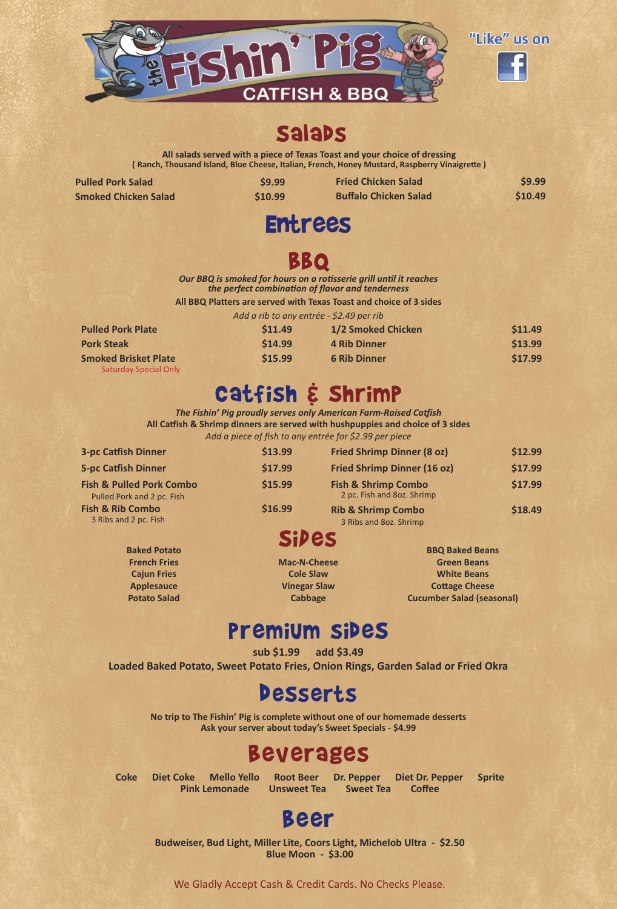

### **Salabs**

**All salads served with a piece of Texas Toast and your choice of dressing ( Ranch, Thousand Island, Blue Cheese, Italian, French, Honey Mustard, Raspberry Vinaigrette )**

| <b>Pulled Pork Salad</b>    | \$9.99                                   | <b>Fried Chicken Salad</b>                                                                                             | \$9.99  |
|-----------------------------|------------------------------------------|------------------------------------------------------------------------------------------------------------------------|---------|
| <b>Smoked Chicken Salad</b> | \$10.99                                  | <b>Buffalo Chicken Salad</b>                                                                                           | \$10.49 |
|                             | <b>Entrees</b>                           |                                                                                                                        |         |
|                             |                                          | BBQ                                                                                                                    |         |
|                             |                                          | Our BBQ is smoked for hours on a rotisserie grill until it reaches<br>the perfect combination of flavor and tenderness |         |
|                             |                                          | All BBQ Platters are served with Texas Toast and choice of 3 sides                                                     |         |
|                             | Add a rib to any entrée - \$2.49 per rib |                                                                                                                        |         |
| <b>Pulled Pork Plate</b>    | \$11.49                                  | 1/2 Smoked Chicken                                                                                                     | \$11.49 |
| <b>Pork Steak</b>           | \$14.99                                  | <b>4 Rib Dinner</b>                                                                                                    | \$13.99 |
| <b>Smoked Brisket Plate</b> | \$15.99                                  | <b>6 Rib Dinner</b>                                                                                                    | \$17.99 |

# Catfish & Shrimp

*The Fishin' Pig proudly serves only American Farm-Raised Catfish* **All Catfish & Shrimp dinners are served with hushpuppies and choice of 3 sides**

*Add a piece of fish to any entrée for \$2.99 per piece*

| <b>3-pc Catfish Dinner</b>                                        | \$13.99 | <b>Fried Shrimp Dinner (8 oz)</b>                            | \$12.99 |
|-------------------------------------------------------------------|---------|--------------------------------------------------------------|---------|
| <b>5-pc Catfish Dinner</b>                                        | \$17.99 | <b>Fried Shrimp Dinner (16 oz)</b>                           | \$17.99 |
| <b>Fish &amp; Pulled Pork Combo</b><br>Pulled Pork and 2 pc. Fish | \$15.99 | <b>Fish &amp; Shrimp Combo</b><br>2 pc. Fish and 8oz. Shrimp | \$17.99 |
| <b>Fish &amp; Rib Combo</b><br>3 Ribs and 2 pc. Fish              | \$16.99 | <b>Rib &amp; Shrimp Combo</b><br>3 Ribs and 8oz. Shrimp      | \$18.49 |
|                                                                   | C:ho    |                                                              |         |

## **SILES**

**Mac-N-Cheese Cole Slaw Vinegar Slaw Cabbage**

**BBQ Baked Beans Green Beans White Beans Cottage Cheese Cucumber Salad (seasonal)**

### premiUm sideS

**sub \$1.99 add \$3.49**

**Loaded Baked Potato, Sweet Potato Fries, Onion Rings, Garden Salad or Fried Okra**

### **Desserts**

**No trip to The Fishin' Pig is complete without one of our homemade desserts Ask your server about today's Sweet Specials - \$4.99**

### Beverages

**Baked Potato French Fries Cajun Fries Applesauce Potato Salad**

Saturday Special Only

**Coke Diet Coke Mello Yello Root Beer Dr. Pepper Diet Dr. Pepper Sprite Pink Lemonade Unsweet Tea Sweet Tea Coffee**

## Beer

**Budweiser, Bud Light, Miller Lite, Coors Light, Michelob Ultra - \$2.50 Blue Moon - \$3.00**

We Gladly Accept Cash & Credit Cards. No Checks Please.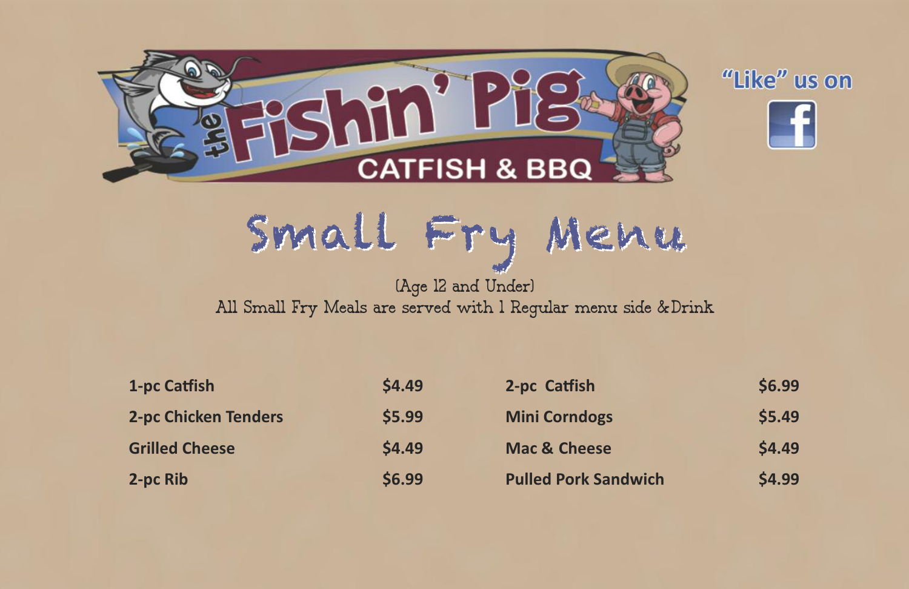



Small Fry Menu

#### (Age 12 and Under) All Small Fry Meals are served with 1 Regular menu side & Drink

| 1-pc Catfish                | \$4.49 | 2-pc Catfish                | \$6.99 |
|-----------------------------|--------|-----------------------------|--------|
| <b>2-pc Chicken Tenders</b> | \$5.99 | <b>Mini Corndogs</b>        | \$5.49 |
| <b>Grilled Cheese</b>       | \$4.49 | <b>Mac &amp; Cheese</b>     | \$4.49 |
| 2-pc Rib                    | \$6.99 | <b>Pulled Pork Sandwich</b> | \$4.99 |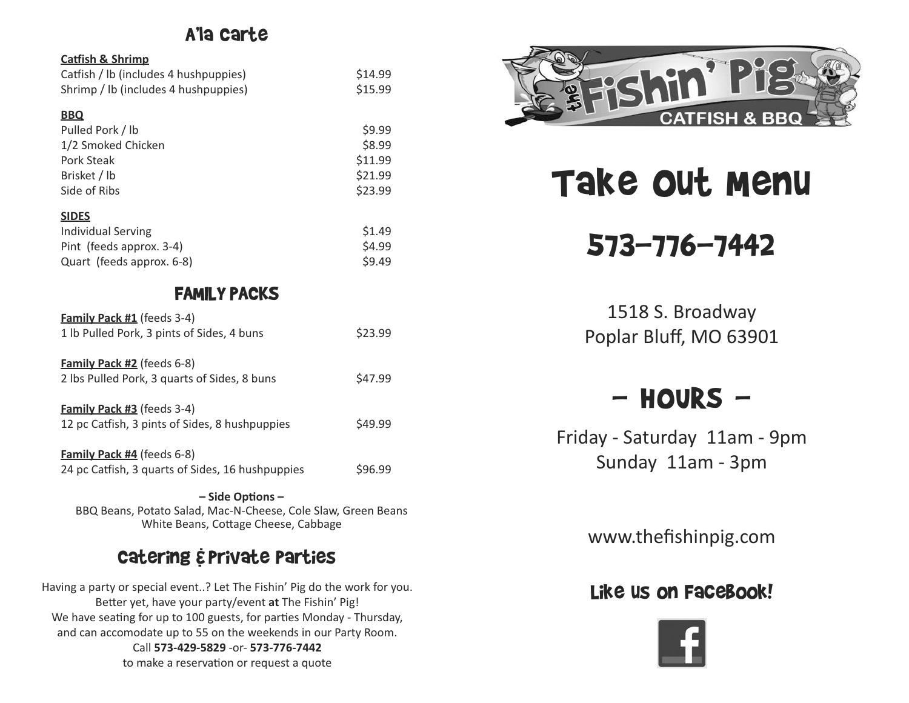### A'la Carte

#### **Catfish & Shrimp**

| Catfish / lb (includes 4 hushpuppies) | \$14.99 |
|---------------------------------------|---------|
| Shrimp / Ib (includes 4 hushpuppies)  | \$15.99 |

#### **BBQ**

| Pulled Pork / lb   | \$9.99  |
|--------------------|---------|
| 1/2 Smoked Chicken | \$8.99  |
| Pork Steak         | \$11.99 |
| Brisket / lb       | \$21.99 |
| Side of Ribs       | \$23.99 |

| <b>SIDES</b>              |        |
|---------------------------|--------|
| Individual Serving        | \$1.49 |
| Pint (feeds approx. 3-4)  | \$4.99 |
| Quart (feeds approx. 6-8) | \$9.49 |

### FAMILY PACKS

| <b>Family Pack #1</b> (feeds 3-4)<br>1 lb Pulled Pork, 3 pints of Sides, 4 buns       | \$23.99 |
|---------------------------------------------------------------------------------------|---------|
| <b>Family Pack #2</b> (feeds 6-8)<br>2 lbs Pulled Pork, 3 quarts of Sides, 8 buns     | S47.99  |
| <b>Family Pack #3</b> (feeds 3-4)<br>12 pc Catfish, 3 pints of Sides, 8 hushpuppies   | S49.99  |
| <b>Family Pack #4</b> (feeds 6-8)<br>24 pc Catfish, 3 quarts of Sides, 16 hushpuppies | \$96.99 |

**– Side Options –** BBQ Beans, Potato Salad, Mac-N-Cheese, Cole Slaw, Green Beans White Beans, Cottage Cheese, Cabbage

### Catering &Private Parties

Having a party or special event..? Let The Fishin' Pig do the work for you. Better yet, have your party/event **at** The Fishin' Pig! We have seating for up to 100 guests, for parties Monday - Thursday, and can accomodate up to 55 on the weekends in our Party Room. Call **573-429-5829** -or- **573-776-7442** to make a reservation or request a quote



# Take Out Menu

# 573-776-7442

1518 S. Broadway Poplar Bluff, MO 63901

### $-$  HOURS  $-$

Friday - Saturday 11am - 9pm Sunday 11am - 3pm

www.thefishinpig.com

### Like us on Facebook!